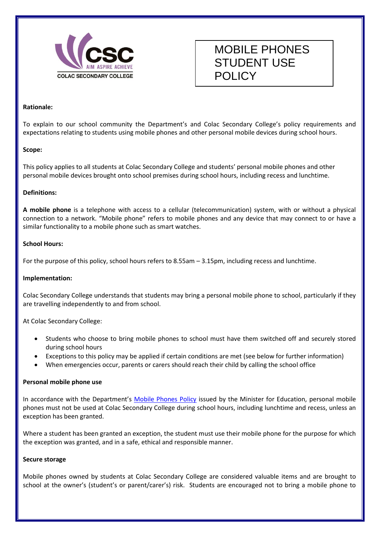

# MOBILE PHONES STUDENT USE POLICY

#### **Rationale:**

To explain to our school community the Department's and Colac Secondary College's policy requirements and expectations relating to students using mobile phones and other personal mobile devices during school hours.

#### **Scope:**

This policy applies to all students at Colac Secondary College and students' personal mobile phones and other personal mobile devices brought onto school premises during school hours, including recess and lunchtime.

#### **Definitions:**

**A mobile phone** is a telephone with access to a cellular (telecommunication) system, with or without a physical connection to a network. "Mobile phone" refers to mobile phones and any device that may connect to or have a similar functionality to a mobile phone such as smart watches.

#### **School Hours:**

For the purpose of this policy, school hours refers to 8.55am – 3.15pm, including recess and lunchtime.

#### **Implementation:**

Colac Secondary College understands that students may bring a personal mobile phone to school, particularly if they are travelling independently to and from school.

At Colac Secondary College:

- Students who choose to bring mobile phones to school must have them switched off and securely stored during school hours
- Exceptions to this policy may be applied if certain conditions are met (see below for further information)
- When emergencies occur, parents or carers should reach their child by calling the school office

#### **Personal mobile phone use**

In accordance with the Department's [Mobile Phones Policy](https://www.education.vic.gov.au/school/principals/spag/safety/Pages/mobilephones.aspx) issued by the Minister for Education, personal mobile phones must not be used at Colac Secondary College during school hours, including lunchtime and recess, unless an exception has been granted.

Where a student has been granted an exception, the student must use their mobile phone for the purpose for which the exception was granted, and in a safe, ethical and responsible manner.

#### **Secure storage**

Mobile phones owned by students at Colac Secondary College are considered valuable items and are brought to school at the owner's (student's or parent/carer's) risk. Students are encouraged not to bring a mobile phone to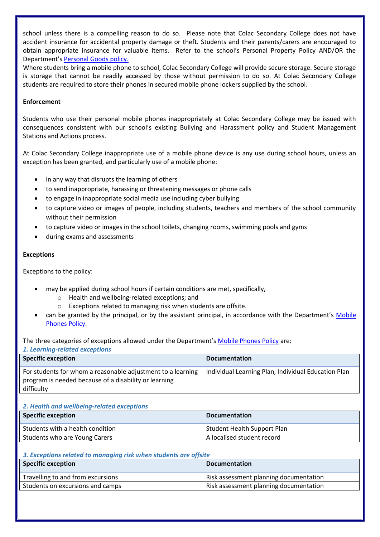school unless there is a compelling reason to do so. Please note that Colac Secondary College does not have accident insurance for accidental property damage or theft. Students and their parents/carers are encouraged to obtain appropriate insurance for valuable items. Refer to the school's Personal Property Policy AND/OR the Department's [Personal Goods](https://www.education.vic.gov.au/school/principals/spag/governance/pages/personalgoods.aspx) policy.

Where students bring a mobile phone to school, Colac Secondary College will provide secure storage. Secure storage is storage that cannot be readily accessed by those without permission to do so. At Colac Secondary College students are required to store their phones in secured mobile phone lockers supplied by the school.

#### **Enforcement**

Students who use their personal mobile phones inappropriately at Colac Secondary College may be issued with consequences consistent with our school's existing Bullying and Harassment policy and Student Management Stations and Actions process.

At Colac Secondary College inappropriate use of a mobile phone device is any use during school hours, unless an exception has been granted, and particularly use of a mobile phone:

- in any way that disrupts the learning of others
- to send inappropriate, harassing or threatening messages or phone calls
- to engage in inappropriate social media use including cyber bullying
- to capture video or images of people, including students, teachers and members of the school community without their permission
- to capture video or images in the school toilets, changing rooms, swimming pools and gyms
- during exams and assessments

#### **Exceptions**

Exceptions to the policy:

- may be applied during school hours if certain conditions are met, specifically,
	- o Health and wellbeing-related exceptions; and
	- o Exceptions related to managing risk when students are offsite.
- can be granted by the principal, or by the assistant principal, in accordance with the Department's [Mobile](https://www.education.vic.gov.au/school/principals/spag/safety/Pages/mobilephones.aspx)  [Phones Policy.](https://www.education.vic.gov.au/school/principals/spag/safety/Pages/mobilephones.aspx)

The three categories of exceptions allowed under the Department's [Mobile Phones Policy](https://www.education.vic.gov.au/school/principals/spag/safety/Pages/mobilephones.aspx) are:

| 1. Learning-related exceptions                                                                                                     |                                                     |  |
|------------------------------------------------------------------------------------------------------------------------------------|-----------------------------------------------------|--|
| <b>Specific exception</b>                                                                                                          | <b>Documentation</b>                                |  |
| For students for whom a reasonable adjustment to a learning<br>program is needed because of a disability or learning<br>difficulty | Individual Learning Plan, Individual Education Plan |  |

### *2. Health and wellbeing-related exceptions*

| <b>Specific exception</b>        | <b>Documentation</b>               |
|----------------------------------|------------------------------------|
| Students with a health condition | <b>Student Health Support Plan</b> |
| Students who are Young Carers    | A localised student record         |

## *3. Exceptions related to managing risk when students are offsite*

| <b>Specific exception</b>         | <b>Documentation</b>                   |
|-----------------------------------|----------------------------------------|
| Travelling to and from excursions | Risk assessment planning documentation |
| Students on excursions and camps  | Risk assessment planning documentation |